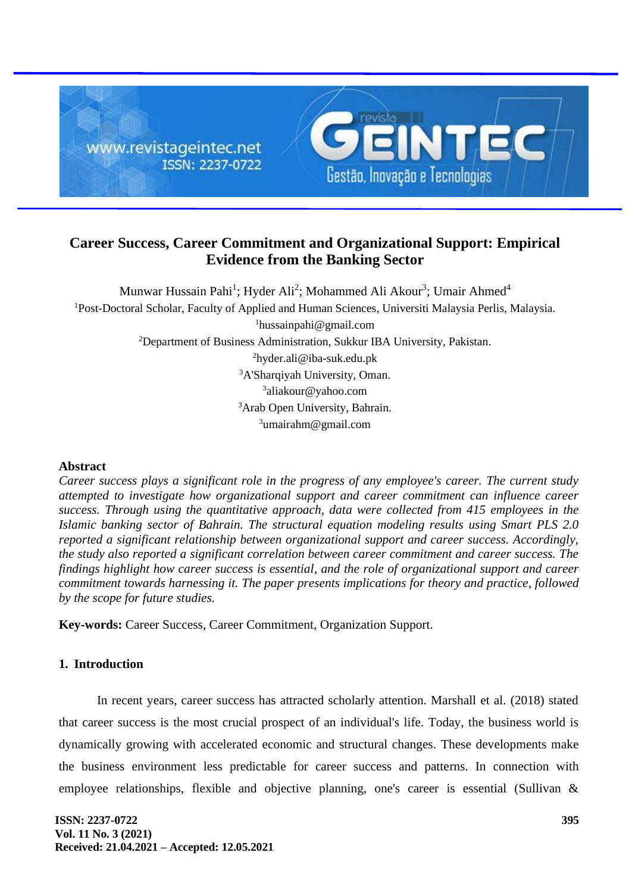

# **Career Success, Career Commitment and Organizational Support: Empirical Evidence from the Banking Sector**

Munwar Hussain Pahi<sup>1</sup>; Hyder Ali<sup>2</sup>; Mohammed Ali Akour<sup>3</sup>; Umair Ahmed<sup>4</sup> <sup>1</sup>Post-Doctoral Scholar, Faculty of Applied and Human Sciences, Universiti Malaysia Perlis, Malaysia. hussainpahi@gmail.com Department of Business Administration, Sukkur IBA University, Pakistan. hyder.ali@iba-suk.edu.pk A'Sharqiyah University, Oman. <sup>3</sup>aliakour@yahoo.com Arab Open University, Bahrain. umairahm@gmail.com

# **Abstract**

*Career success plays a significant role in the progress of any employee's career. The current study attempted to investigate how organizational support and career commitment can influence career success. Through using the quantitative approach, data were collected from 415 employees in the Islamic banking sector of Bahrain. The structural equation modeling results using Smart PLS 2.0 reported a significant relationship between organizational support and career success. Accordingly, the study also reported a significant correlation between career commitment and career success. The findings highlight how career success is essential, and the role of organizational support and career commitment towards harnessing it. The paper presents implications for theory and practice, followed by the scope for future studies.*

**Key-words:** Career Success, Career Commitment, Organization Support.

# **1. Introduction**

In recent years, career success has attracted scholarly attention. Marshall et al. (2018) stated that career success is the most crucial prospect of an individual's life. Today, the business world is dynamically growing with accelerated economic and structural changes. These developments make the business environment less predictable for career success and patterns. In connection with employee relationships, flexible and objective planning, one's career is essential (Sullivan &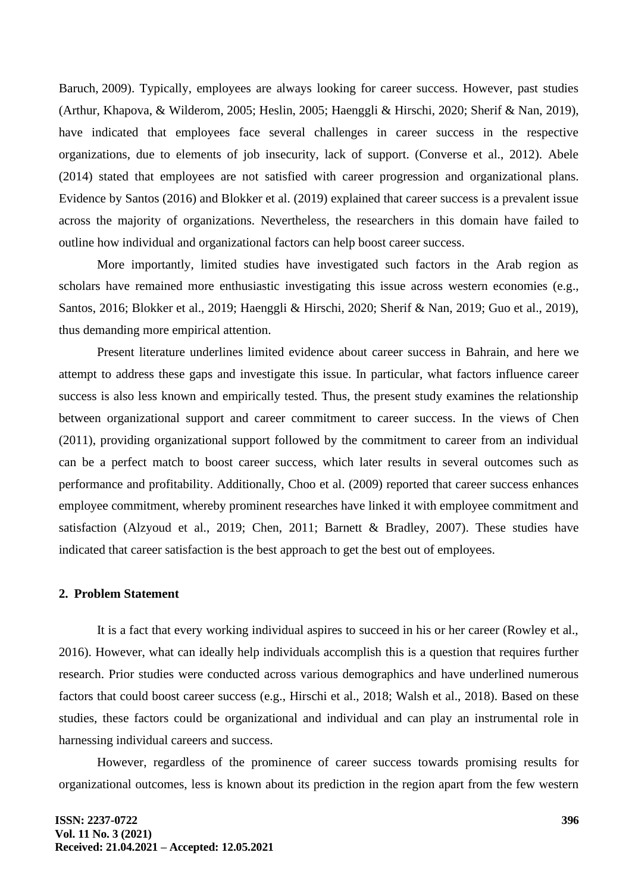Baruch, 2009). Typically, employees are always looking for career success. However, past studies (Arthur, Khapova, & Wilderom, 2005; Heslin, 2005; Haenggli & Hirschi, 2020; Sherif & Nan, 2019), have indicated that employees face several challenges in career success in the respective organizations, due to elements of job insecurity, lack of support. (Converse et al., 2012). Abele (2014) stated that employees are not satisfied with career progression and organizational plans. Evidence by Santos (2016) and Blokker et al. (2019) explained that career success is a prevalent issue across the majority of organizations. Nevertheless, the researchers in this domain have failed to outline how individual and organizational factors can help boost career success.

More importantly, limited studies have investigated such factors in the Arab region as scholars have remained more enthusiastic investigating this issue across western economies (e.g., Santos, 2016; Blokker et al., 2019; Haenggli & Hirschi, 2020; Sherif & Nan, 2019; Guo et al., 2019), thus demanding more empirical attention.

Present literature underlines limited evidence about career success in Bahrain, and here we attempt to address these gaps and investigate this issue. In particular, what factors influence career success is also less known and empirically tested. Thus, the present study examines the relationship between organizational support and career commitment to career success. In the views of Chen (2011), providing organizational support followed by the commitment to career from an individual can be a perfect match to boost career success, which later results in several outcomes such as performance and profitability. Additionally, Choo et al. (2009) reported that career success enhances employee commitment, whereby prominent researches have linked it with employee commitment and satisfaction (Alzyoud et al., 2019; Chen, 2011; Barnett & Bradley, 2007). These studies have indicated that career satisfaction is the best approach to get the best out of employees.

### **2. Problem Statement**

It is a fact that every working individual aspires to succeed in his or her career (Rowley et al., 2016). However, what can ideally help individuals accomplish this is a question that requires further research. Prior studies were conducted across various demographics and have underlined numerous factors that could boost career success (e.g., Hirschi et al., 2018; Walsh et al., 2018). Based on these studies, these factors could be organizational and individual and can play an instrumental role in harnessing individual careers and success.

However, regardless of the prominence of career success towards promising results for organizational outcomes, less is known about its prediction in the region apart from the few western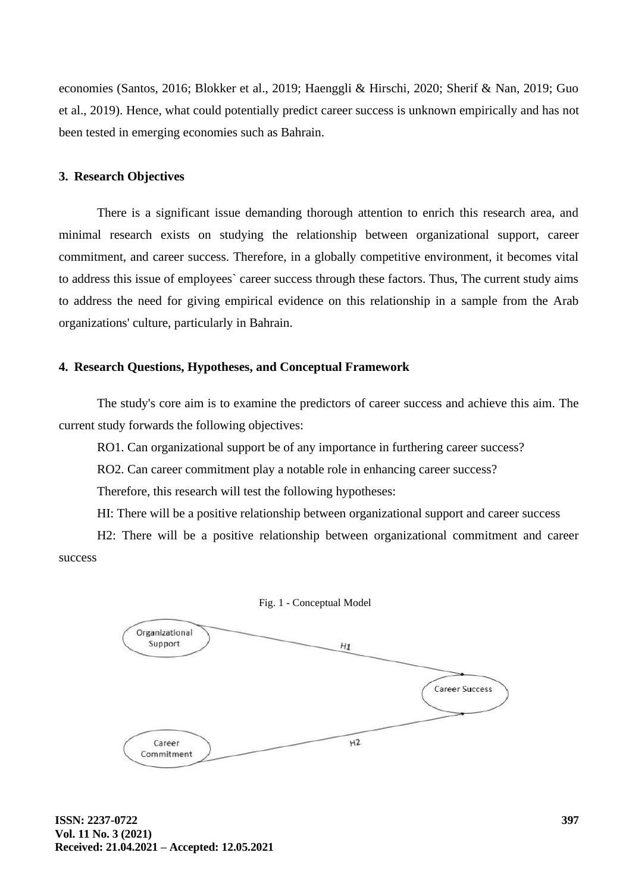economies (Santos, 2016; Blokker et al., 2019; Haenggli & Hirschi, 2020; Sherif & Nan, 2019; Guo et al., 2019). Hence, what could potentially predict career success is unknown empirically and has not been tested in emerging economies such as Bahrain.

# **3. Research Objectives**

There is a significant issue demanding thorough attention to enrich this research area, and minimal research exists on studying the relationship between organizational support, career commitment, and career success. Therefore, in a globally competitive environment, it becomes vital to address this issue of employees` career success through these factors. Thus, The current study aims to address the need for giving empirical evidence on this relationship in a sample from the Arab organizations' culture, particularly in Bahrain.

# **4. Research Questions, Hypotheses, and Conceptual Framework**

The study's core aim is to examine the predictors of career success and achieve this aim. The current study forwards the following objectives:

RO1. Can organizational support be of any importance in furthering career success?

RO2. Can career commitment play a notable role in enhancing career success?

Therefore, this research will test the following hypotheses:

HI: There will be a positive relationship between organizational support and career success

H2: There will be a positive relationship between organizational commitment and career success

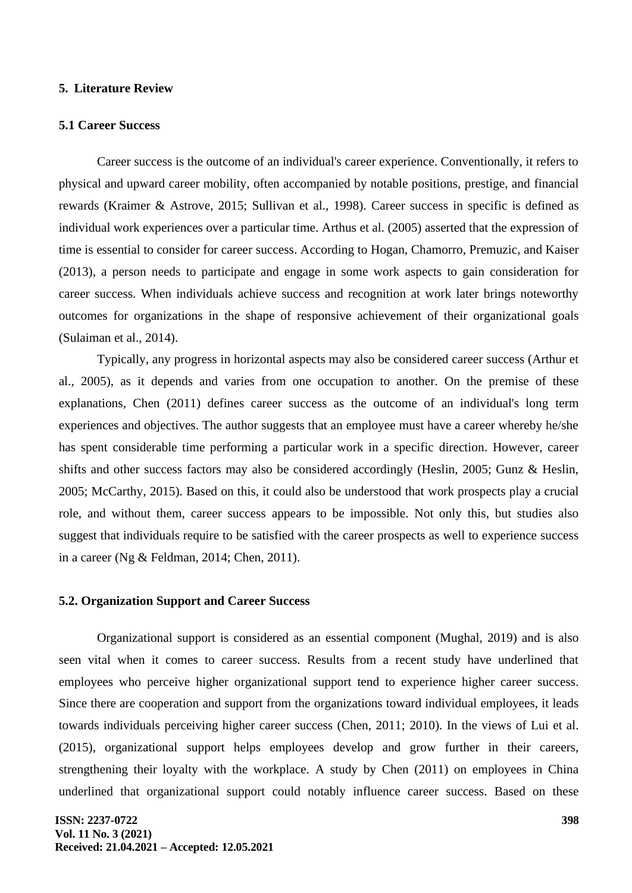# **5. Literature Review**

#### **5.1 Career Success**

Career success is the outcome of an individual's career experience. Conventionally, it refers to physical and upward career mobility, often accompanied by notable positions, prestige, and financial rewards (Kraimer & Astrove, 2015; Sullivan et al., 1998). Career success in specific is defined as individual work experiences over a particular time. Arthus et al. (2005) asserted that the expression of time is essential to consider for career success. According to Hogan, Chamorro, Premuzic, and Kaiser (2013), a person needs to participate and engage in some work aspects to gain consideration for career success. When individuals achieve success and recognition at work later brings noteworthy outcomes for organizations in the shape of responsive achievement of their organizational goals (Sulaiman et al., 2014).

Typically, any progress in horizontal aspects may also be considered career success (Arthur et al., 2005), as it depends and varies from one occupation to another. On the premise of these explanations, Chen (2011) defines career success as the outcome of an individual's long term experiences and objectives. The author suggests that an employee must have a career whereby he/she has spent considerable time performing a particular work in a specific direction. However, career shifts and other success factors may also be considered accordingly (Heslin, 2005; Gunz & Heslin, 2005; McCarthy, 2015). Based on this, it could also be understood that work prospects play a crucial role, and without them, career success appears to be impossible. Not only this, but studies also suggest that individuals require to be satisfied with the career prospects as well to experience success in a career (Ng & Feldman, 2014; Chen, 2011).

#### **5.2. Organization Support and Career Success**

Organizational support is considered as an essential component (Mughal, 2019) and is also seen vital when it comes to career success. Results from a recent study have underlined that employees who perceive higher organizational support tend to experience higher career success. Since there are cooperation and support from the organizations toward individual employees, it leads towards individuals perceiving higher career success (Chen, 2011; 2010). In the views of Lui et al. (2015), organizational support helps employees develop and grow further in their careers, strengthening their loyalty with the workplace. A study by Chen (2011) on employees in China underlined that organizational support could notably influence career success. Based on these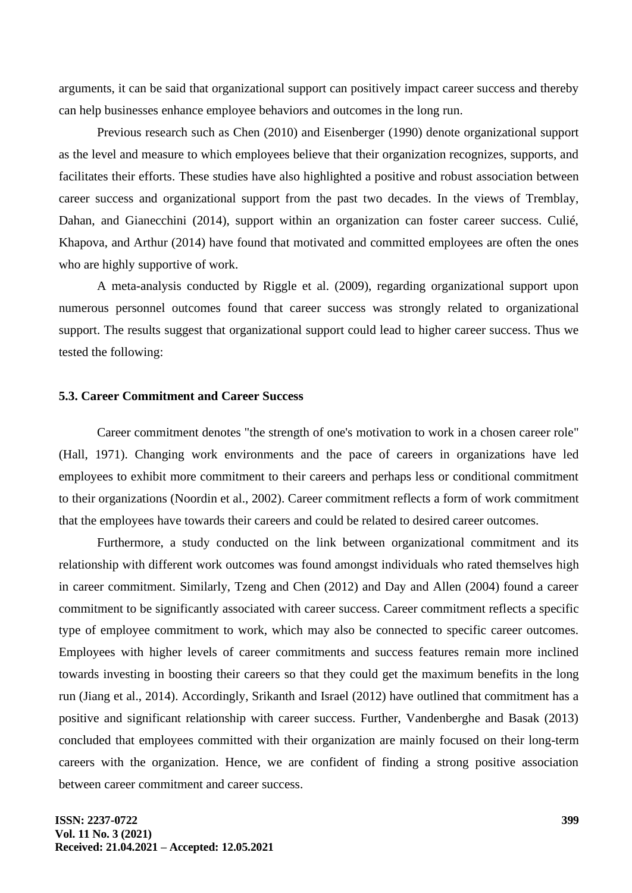arguments, it can be said that organizational support can positively impact career success and thereby can help businesses enhance employee behaviors and outcomes in the long run.

Previous research such as Chen (2010) and Eisenberger (1990) denote organizational support as the level and measure to which employees believe that their organization recognizes, supports, and facilitates their efforts. These studies have also highlighted a positive and robust association between career success and organizational support from the past two decades. In the views of Tremblay, Dahan, and Gianecchini (2014), support within an organization can foster career success. Culié, Khapova, and Arthur (2014) have found that motivated and committed employees are often the ones who are highly supportive of work.

A meta-analysis conducted by Riggle et al. (2009), regarding organizational support upon numerous personnel outcomes found that career success was strongly related to organizational support. The results suggest that organizational support could lead to higher career success. Thus we tested the following:

### **5.3. Career Commitment and Career Success**

Career commitment denotes "the strength of one's motivation to work in a chosen career role" (Hall, 1971). Changing work environments and the pace of careers in organizations have led employees to exhibit more commitment to their careers and perhaps less or conditional commitment to their organizations (Noordin et al., 2002). Career commitment reflects a form of work commitment that the employees have towards their careers and could be related to desired career outcomes.

Furthermore, a study conducted on the link between organizational commitment and its relationship with different work outcomes was found amongst individuals who rated themselves high in career commitment. Similarly, Tzeng and Chen (2012) and Day and Allen (2004) found a career commitment to be significantly associated with career success. Career commitment reflects a specific type of employee commitment to work, which may also be connected to specific career outcomes. Employees with higher levels of career commitments and success features remain more inclined towards investing in boosting their careers so that they could get the maximum benefits in the long run (Jiang et al., 2014). Accordingly, Srikanth and Israel (2012) have outlined that commitment has a positive and significant relationship with career success. Further, Vandenberghe and Basak (2013) concluded that employees committed with their organization are mainly focused on their long-term careers with the organization. Hence, we are confident of finding a strong positive association between career commitment and career success.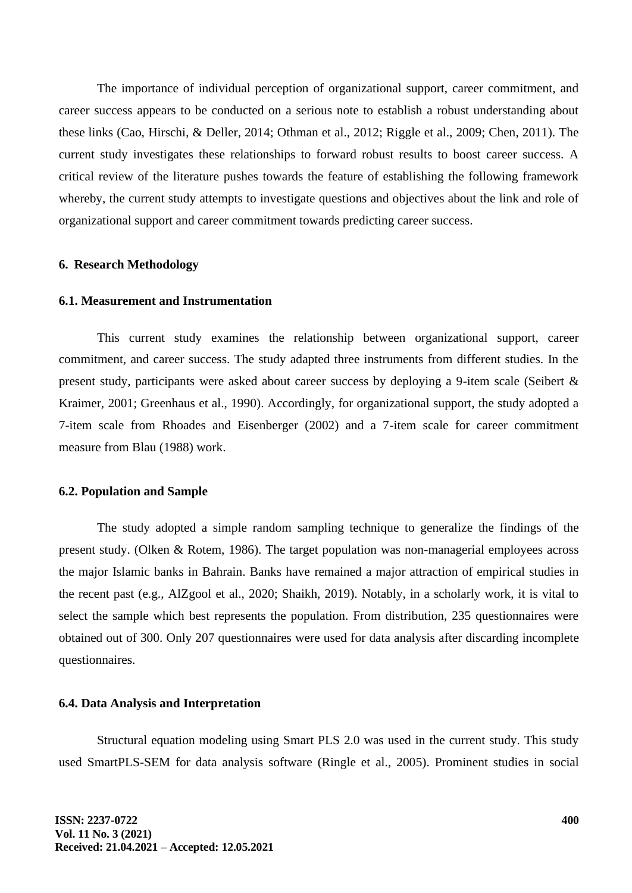The importance of individual perception of organizational support, career commitment, and career success appears to be conducted on a serious note to establish a robust understanding about these links (Cao, Hirschi, & Deller, 2014; Othman et al., 2012; Riggle et al., 2009; Chen, 2011). The current study investigates these relationships to forward robust results to boost career success. A critical review of the literature pushes towards the feature of establishing the following framework whereby, the current study attempts to investigate questions and objectives about the link and role of organizational support and career commitment towards predicting career success.

# **6. Research Methodology**

# **6.1. Measurement and Instrumentation**

This current study examines the relationship between organizational support, career commitment, and career success. The study adapted three instruments from different studies. In the present study, participants were asked about career success by deploying a 9-item scale (Seibert & Kraimer, 2001; Greenhaus et al., 1990). Accordingly, for organizational support, the study adopted a 7-item scale from Rhoades and Eisenberger (2002) and a 7-item scale for career commitment measure from Blau (1988) work.

#### **6.2. Population and Sample**

The study adopted a simple random sampling technique to generalize the findings of the present study. (Olken & Rotem, 1986). The target population was non-managerial employees across the major Islamic banks in Bahrain. Banks have remained a major attraction of empirical studies in the recent past (e.g., AlZgool et al., 2020; Shaikh, 2019). Notably, in a scholarly work, it is vital to select the sample which best represents the population. From distribution, 235 questionnaires were obtained out of 300. Only 207 questionnaires were used for data analysis after discarding incomplete questionnaires.

# **6.4. Data Analysis and Interpretation**

Structural equation modeling using Smart PLS 2.0 was used in the current study. This study used SmartPLS-SEM for data analysis software (Ringle et al., 2005). Prominent studies in social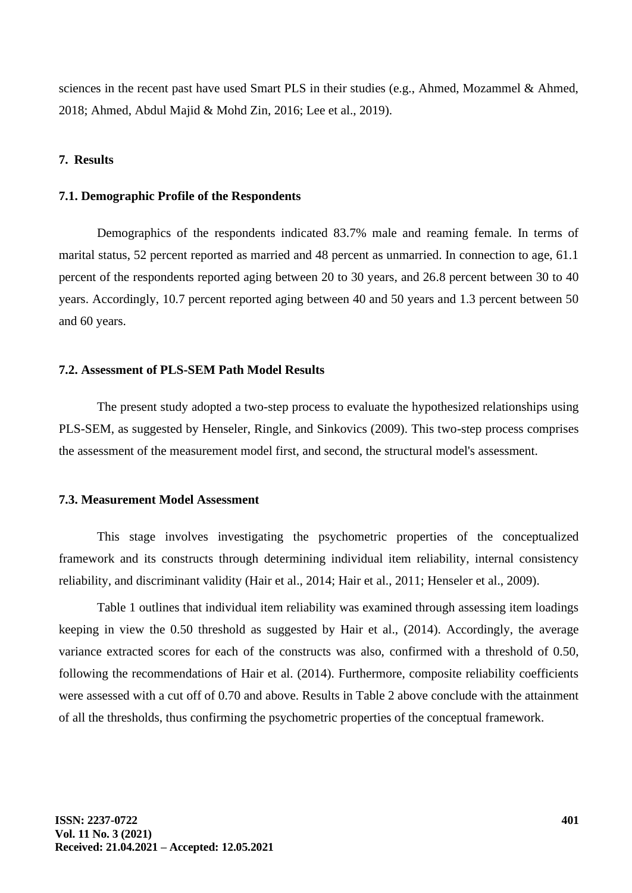sciences in the recent past have used Smart PLS in their studies (e.g., Ahmed, Mozammel & Ahmed, 2018; Ahmed, Abdul Majid & Mohd Zin, 2016; Lee et al., 2019).

# **7. Results**

### **7.1. Demographic Profile of the Respondents**

Demographics of the respondents indicated 83.7% male and reaming female. In terms of marital status, 52 percent reported as married and 48 percent as unmarried. In connection to age, 61.1 percent of the respondents reported aging between 20 to 30 years, and 26.8 percent between 30 to 40 years. Accordingly, 10.7 percent reported aging between 40 and 50 years and 1.3 percent between 50 and 60 years.

# **7.2. Assessment of PLS-SEM Path Model Results**

The present study adopted a two-step process to evaluate the hypothesized relationships using PLS-SEM, as suggested by Henseler, Ringle, and Sinkovics (2009). This two-step process comprises the assessment of the measurement model first, and second, the structural model's assessment.

#### **7.3. Measurement Model Assessment**

This stage involves investigating the psychometric properties of the conceptualized framework and its constructs through determining individual item reliability, internal consistency reliability, and discriminant validity (Hair et al., 2014; Hair et al., 2011; Henseler et al., 2009).

Table 1 outlines that individual item reliability was examined through assessing item loadings keeping in view the 0.50 threshold as suggested by Hair et al., (2014). Accordingly, the average variance extracted scores for each of the constructs was also, confirmed with a threshold of 0.50, following the recommendations of Hair et al. (2014). Furthermore, composite reliability coefficients were assessed with a cut off of 0.70 and above. Results in Table 2 above conclude with the attainment of all the thresholds, thus confirming the psychometric properties of the conceptual framework.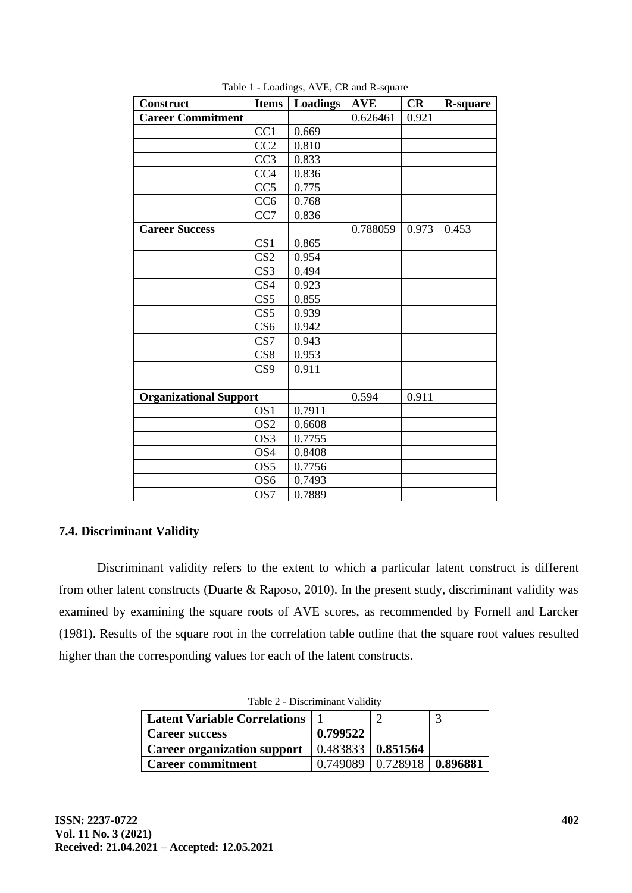| <b>Construct</b>              | <b>Items</b>            | <b>Loadings</b> | <b>AVE</b> | CR    | <b>R-square</b> |
|-------------------------------|-------------------------|-----------------|------------|-------|-----------------|
| <b>Career Commitment</b>      |                         |                 | 0.626461   | 0.921 |                 |
|                               | CC1                     | 0.669           |            |       |                 |
|                               | CC2                     | 0.810           |            |       |                 |
|                               | CC <sub>3</sub>         | 0.833           |            |       |                 |
|                               | CC <sub>4</sub>         | 0.836           |            |       |                 |
|                               | CC5                     | 0.775           |            |       |                 |
|                               | CC <sub>6</sub>         | 0.768           |            |       |                 |
|                               | CC7                     | 0.836           |            |       |                 |
| <b>Career Success</b>         |                         |                 | 0.788059   | 0.973 | 0.453           |
|                               | CS <sub>1</sub>         | 0.865           |            |       |                 |
|                               | CS <sub>2</sub>         | 0.954           |            |       |                 |
|                               | CS <sub>3</sub>         | 0.494           |            |       |                 |
|                               | $\overline{\text{CS}}4$ | 0.923           |            |       |                 |
|                               | CS5                     | 0.855           |            |       |                 |
|                               | CS5                     | 0.939           |            |       |                 |
|                               | CS <sub>6</sub>         | 0.942           |            |       |                 |
|                               | CS7                     | 0.943           |            |       |                 |
|                               | CS8                     | 0.953           |            |       |                 |
|                               | CS <sub>9</sub>         | 0.911           |            |       |                 |
|                               |                         |                 |            |       |                 |
| <b>Organizational Support</b> |                         |                 | 0.594      | 0.911 |                 |
|                               | OS <sub>1</sub>         | 0.7911          |            |       |                 |
|                               | OS <sub>2</sub>         | 0.6608          |            |       |                 |
|                               | OS <sub>3</sub>         | 0.7755          |            |       |                 |
|                               | OS4                     | 0.8408          |            |       |                 |
|                               | OS <sub>5</sub>         | 0.7756          |            |       |                 |
|                               | OS <sub>6</sub>         | 0.7493          |            |       |                 |
|                               | OS7                     | 0.7889          |            |       |                 |

Table 1 - Loadings, AVE, CR and R-square

# **7.4. Discriminant Validity**

Discriminant validity refers to the extent to which a particular latent construct is different from other latent constructs (Duarte & Raposo, 2010). In the present study, discriminant validity was examined by examining the square roots of AVE scores, as recommended by Fornell and Larcker (1981). Results of the square root in the correlation table outline that the square root values resulted higher than the corresponding values for each of the latent constructs.

| $10010 \, \mu$ D <sub>19</sub> , $1001$ , $1001$ , $1001$ |                          |                                  |  |  |  |  |  |  |
|-----------------------------------------------------------|--------------------------|----------------------------------|--|--|--|--|--|--|
| <b>Latent Variable Correlations</b>                       |                          |                                  |  |  |  |  |  |  |
| <b>Career success</b>                                     | 0.799522                 |                                  |  |  |  |  |  |  |
| <b>Career organization support</b>                        | $0.483833 \mid 0.851564$ |                                  |  |  |  |  |  |  |
| <b>Career commitment</b>                                  |                          | $0.749089$   0.728918   0.896881 |  |  |  |  |  |  |

Table 2 - Discriminant Validity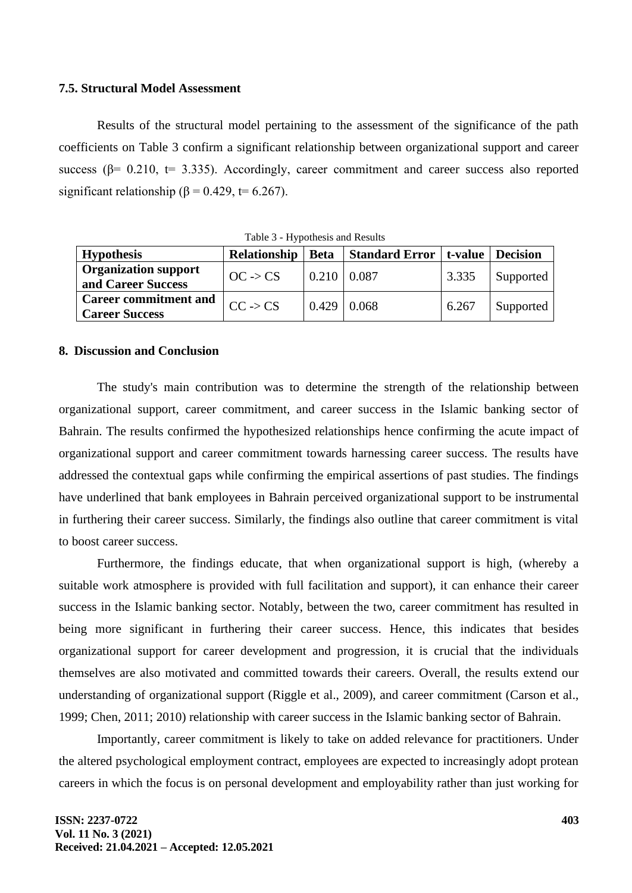### **7.5. Structural Model Assessment**

Results of the structural model pertaining to the assessment of the significance of the path coefficients on Table 3 confirm a significant relationship between organizational support and career success ( $\beta$ = 0.210, t= 3.335). Accordingly, career commitment and career success also reported significant relationship ( $\beta$  = 0.429, t= 6.267).

| <b>Hypothesis</b>                                                          | Relationship        |                    | Beta   Standard Error   t-value   Decision |       |           |  |  |  |  |  |
|----------------------------------------------------------------------------|---------------------|--------------------|--------------------------------------------|-------|-----------|--|--|--|--|--|
| <b>Organization support</b><br>and Career Success                          | $OC \rightarrow CS$ | $0.210 \mid 0.087$ |                                            | 3.335 | Supported |  |  |  |  |  |
| Career commitment and $\vert_{CC \rightarrow CS}$<br><b>Career Success</b> |                     | $0.429 \mid 0.068$ |                                            | 6.267 | Supported |  |  |  |  |  |

Table 3 - Hypothesis and Results

# **8. Discussion and Conclusion**

The study's main contribution was to determine the strength of the relationship between organizational support, career commitment, and career success in the Islamic banking sector of Bahrain. The results confirmed the hypothesized relationships hence confirming the acute impact of organizational support and career commitment towards harnessing career success. The results have addressed the contextual gaps while confirming the empirical assertions of past studies. The findings have underlined that bank employees in Bahrain perceived organizational support to be instrumental in furthering their career success. Similarly, the findings also outline that career commitment is vital to boost career success.

Furthermore, the findings educate, that when organizational support is high, (whereby a suitable work atmosphere is provided with full facilitation and support), it can enhance their career success in the Islamic banking sector. Notably, between the two, career commitment has resulted in being more significant in furthering their career success. Hence, this indicates that besides organizational support for career development and progression, it is crucial that the individuals themselves are also motivated and committed towards their careers. Overall, the results extend our understanding of organizational support (Riggle et al., 2009), and career commitment (Carson et al., 1999; Chen, 2011; 2010) relationship with career success in the Islamic banking sector of Bahrain.

Importantly, career commitment is likely to take on added relevance for practitioners. Under the altered psychological employment contract, employees are expected to increasingly adopt protean careers in which the focus is on personal development and employability rather than just working for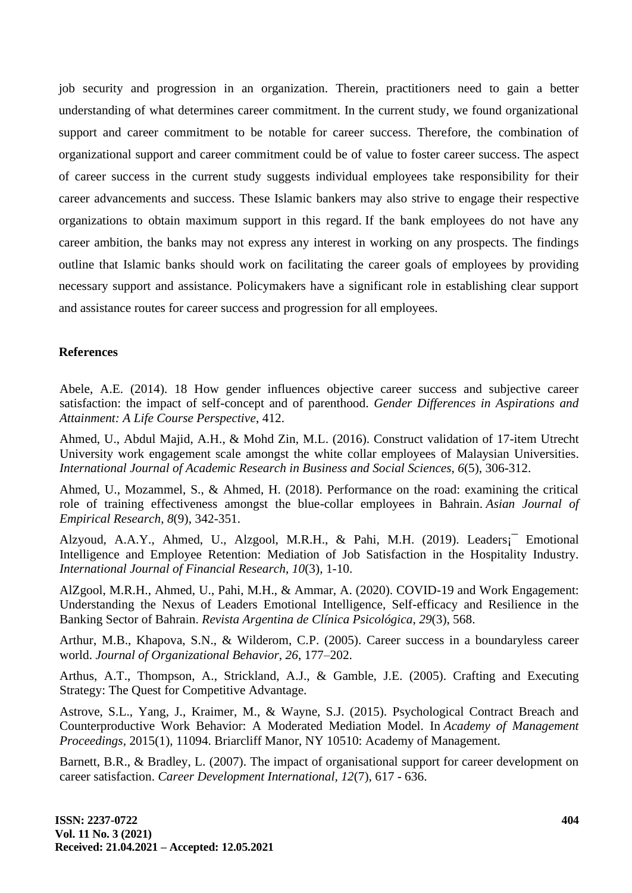job security and progression in an organization. Therein, practitioners need to gain a better understanding of what determines career commitment. In the current study, we found organizational support and career commitment to be notable for career success. Therefore, the combination of organizational support and career commitment could be of value to foster career success. The aspect of career success in the current study suggests individual employees take responsibility for their career advancements and success. These Islamic bankers may also strive to engage their respective organizations to obtain maximum support in this regard. If the bank employees do not have any career ambition, the banks may not express any interest in working on any prospects. The findings outline that Islamic banks should work on facilitating the career goals of employees by providing necessary support and assistance. Policymakers have a significant role in establishing clear support and assistance routes for career success and progression for all employees.

# **References**

Abele, A.E. (2014). 18 How gender influences objective career success and subjective career satisfaction: the impact of self-concept and of parenthood. *Gender Differences in Aspirations and Attainment: A Life Course Perspective*, 412.

Ahmed, U., Abdul Majid, A.H., & Mohd Zin, M.L. (2016). Construct validation of 17-item Utrecht University work engagement scale amongst the white collar employees of Malaysian Universities. *International Journal of Academic Research in Business and Social Sciences*, *6*(5), 306-312.

Ahmed, U., Mozammel, S., & Ahmed, H. (2018). Performance on the road: examining the critical role of training effectiveness amongst the blue-collar employees in Bahrain. *Asian Journal of Empirical Research*, *8*(9), 342-351.

Alzyoud, A.A.Y., Ahmed, U., Alzgool, M.R.H., & Pahi, M.H. (2019). Leaders¡¯ Emotional Intelligence and Employee Retention: Mediation of Job Satisfaction in the Hospitality Industry. *International Journal of Financial Research*, *10*(3), 1-10.

AlZgool, M.R.H., Ahmed, U., Pahi, M.H., & Ammar, A. (2020). COVID-19 and Work Engagement: Understanding the Nexus of Leaders Emotional Intelligence, Self-efficacy and Resilience in the Banking Sector of Bahrain. *Revista Argentina de Clínica Psicológica*, *29*(3), 568.

Arthur, M.B., Khapova, S.N., & Wilderom, C.P. (2005). Career success in a boundaryless career world. *Journal of Organizational Behavior, 26*, 177–202.

Arthus, A.T., Thompson, A., Strickland, A.J., & Gamble, J.E. (2005). Crafting and Executing Strategy: The Quest for Competitive Advantage.

Astrove, S.L., Yang, J., Kraimer, M., & Wayne, S.J. (2015). Psychological Contract Breach and Counterproductive Work Behavior: A Moderated Mediation Model. In *Academy of Management Proceedings,* 2015(1), 11094. Briarcliff Manor, NY 10510: Academy of Management.

Barnett, B.R., & Bradley, L. (2007). The impact of organisational support for career development on career satisfaction. *Career Development International, 12*(7), 617 - 636.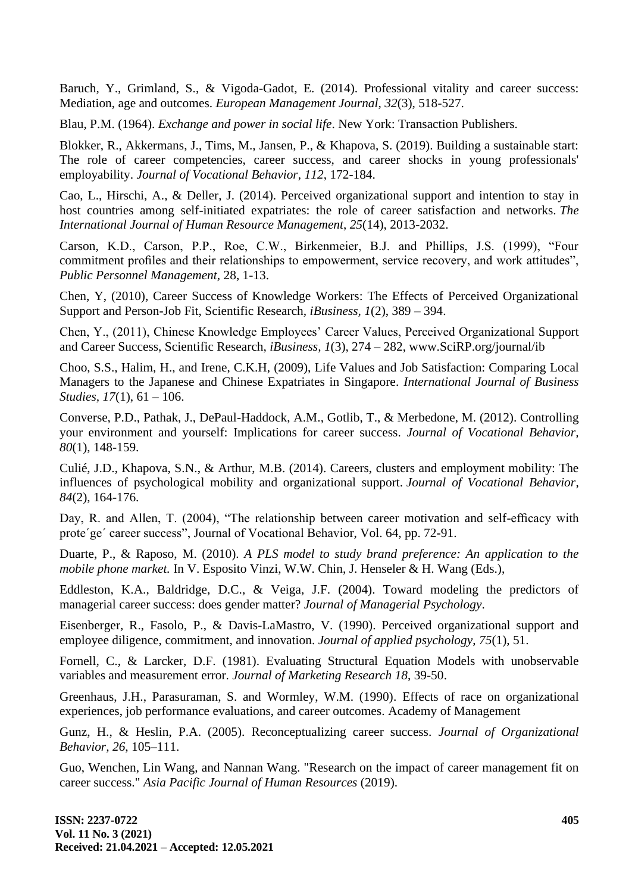Baruch, Y., Grimland, S., & Vigoda-Gadot, E. (2014). Professional vitality and career success: Mediation, age and outcomes. *European Management Journal*, *32*(3), 518-527.

Blau, P.M. (1964). *Exchange and power in social life*. New York: Transaction Publishers.

Blokker, R., Akkermans, J., Tims, M., Jansen, P., & Khapova, S. (2019). Building a sustainable start: The role of career competencies, career success, and career shocks in young professionals' employability. *Journal of Vocational Behavior*, *112*, 172-184.

Cao, L., Hirschi, A., & Deller, J. (2014). Perceived organizational support and intention to stay in host countries among self-initiated expatriates: the role of career satisfaction and networks. *The International Journal of Human Resource Management*, *25*(14), 2013-2032.

Carson, K.D., Carson, P.P., Roe, C.W., Birkenmeier, B.J. and Phillips, J.S. (1999), "Four commitment profiles and their relationships to empowerment, service recovery, and work attitudes", *Public Personnel Management,* 28, 1-13.

Chen, Y, (2010), Career Success of Knowledge Workers: The Effects of Perceived Organizational Support and Person-Job Fit, Scientific Research*, iBusiness, 1*(2), 389 – 394.

Chen, Y., (2011), Chinese Knowledge Employees' Career Values, Perceived Organizational Support and Career Success, Scientific Research, *iBusiness, 1*(3), 274 – 282, www.SciRP.org/journal/ib

Choo, S.S., Halim, H., and Irene, C.K.H, (2009), Life Values and Job Satisfaction: Comparing Local Managers to the Japanese and Chinese Expatriates in Singapore. *International Journal of Business Studies, 17*(1), 61 – 106.

Converse, P.D., Pathak, J., DePaul-Haddock, A.M., Gotlib, T., & Merbedone, M. (2012). Controlling your environment and yourself: Implications for career success. *Journal of Vocational Behavior, 80*(1), 148-159.

Culié, J.D., Khapova, S.N., & Arthur, M.B. (2014). Careers, clusters and employment mobility: The influences of psychological mobility and organizational support. *Journal of Vocational Behavior*, *84*(2), 164-176.

Day, R. and Allen, T. (2004), "The relationship between career motivation and self-efficacy with prote´ge´ career success", Journal of Vocational Behavior, Vol. 64, pp. 72-91.

Duarte, P., & Raposo, M. (2010). *A PLS model to study brand preference: An application to the mobile phone market.* In V. Esposito Vinzi, W.W. Chin, J. Henseler & H. Wang (Eds.),

Eddleston, K.A., Baldridge, D.C., & Veiga, J.F. (2004). Toward modeling the predictors of managerial career success: does gender matter? *Journal of Managerial Psychology*.

Eisenberger, R., Fasolo, P., & Davis-LaMastro, V. (1990). Perceived organizational support and employee diligence, commitment, and innovation. *Journal of applied psychology*, *75*(1), 51.

Fornell, C., & Larcker, D.F. (1981). Evaluating Structural Equation Models with unobservable variables and measurement error. *Journal of Marketing Research 18*, 39-50.

Greenhaus, J.H., Parasuraman, S. and Wormley, W.M. (1990). Effects of race on organizational experiences, job performance evaluations, and career outcomes. Academy of Management

Gunz, H., & Heslin, P.A. (2005). Reconceptualizing career success. *Journal of Organizational Behavior, 26*, 105–111.

Guo, Wenchen, Lin Wang, and Nannan Wang. "Research on the impact of career management fit on career success." *Asia Pacific Journal of Human Resources* (2019).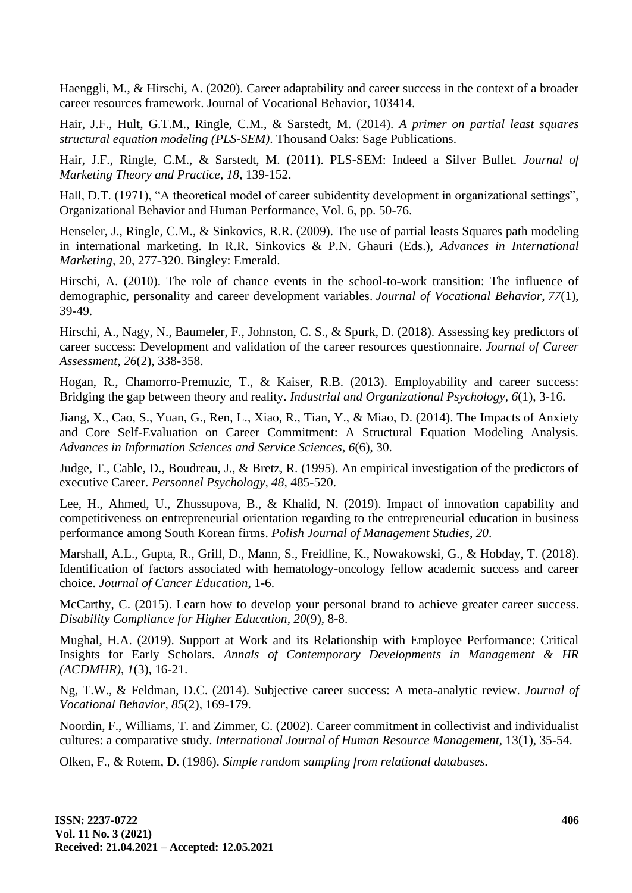Haenggli, M., & Hirschi, A. (2020). Career adaptability and career success in the context of a broader career resources framework. Journal of Vocational Behavior, 103414.

Hair, J.F., Hult, G.T.M., Ringle, C.M., & Sarstedt, M. (2014). *A primer on partial least squares structural equation modeling (PLS-SEM)*. Thousand Oaks: Sage Publications.

Hair, J.F., Ringle, C.M., & Sarstedt, M. (2011). PLS-SEM: Indeed a Silver Bullet. *Journal of Marketing Theory and Practice, 18*, 139-152.

Hall, D.T. (1971), "A theoretical model of career subidentity development in organizational settings", Organizational Behavior and Human Performance, Vol. 6, pp. 50-76.

Henseler, J., Ringle, C.M., & Sinkovics, R.R. (2009). The use of partial leasts Squares path modeling in international marketing. In R.R. Sinkovics & P.N. Ghauri (Eds.), *Advances in International Marketing,* 20, 277-320. Bingley: Emerald.

Hirschi, A. (2010). The role of chance events in the school-to-work transition: The influence of demographic, personality and career development variables. *Journal of Vocational Behavior*, *77*(1), 39-49.

Hirschi, A., Nagy, N., Baumeler, F., Johnston, C. S., & Spurk, D. (2018). Assessing key predictors of career success: Development and validation of the career resources questionnaire. *Journal of Career Assessment*, *26*(2), 338-358.

Hogan, R., Chamorro-Premuzic, T., & Kaiser, R.B. (2013). Employability and career success: Bridging the gap between theory and reality. *Industrial and Organizational Psychology*, *6*(1), 3-16.

Jiang, X., Cao, S., Yuan, G., Ren, L., Xiao, R., Tian, Y., & Miao, D. (2014). The Impacts of Anxiety and Core Self-Evaluation on Career Commitment: A Structural Equation Modeling Analysis. *Advances in Information Sciences and Service Sciences*, *6*(6), 30.

Judge, T., Cable, D., Boudreau, J., & Bretz, R. (1995). An empirical investigation of the predictors of executive Career. *Personnel Psychology, 48,* 485-520.

Lee, H., Ahmed, U., Zhussupova, B., & Khalid, N. (2019). Impact of innovation capability and competitiveness on entrepreneurial orientation regarding to the entrepreneurial education in business performance among South Korean firms. *Polish Journal of Management Studies*, *20*.

Marshall, A.L., Gupta, R., Grill, D., Mann, S., Freidline, K., Nowakowski, G., & Hobday, T. (2018). Identification of factors associated with hematology-oncology fellow academic success and career choice. *Journal of Cancer Education*, 1-6.

McCarthy, C. (2015). Learn how to develop your personal brand to achieve greater career success. *Disability Compliance for Higher Education*, *20*(9), 8-8.

Mughal, H.A. (2019). Support at Work and its Relationship with Employee Performance: Critical Insights for Early Scholars. *Annals of Contemporary Developments in Management & HR (ACDMHR)*, *1*(3), 16-21.

Ng, T.W., & Feldman, D.C. (2014). Subjective career success: A meta-analytic review. *Journal of Vocational Behavior, 85*(2), 169-179.

Noordin, F., Williams, T. and Zimmer, C. (2002). Career commitment in collectivist and individualist cultures: a comparative study. *International Journal of Human Resource Management,* 13(1), 35-54.

Olken, F., & Rotem, D. (1986). *Simple random sampling from relational databases.*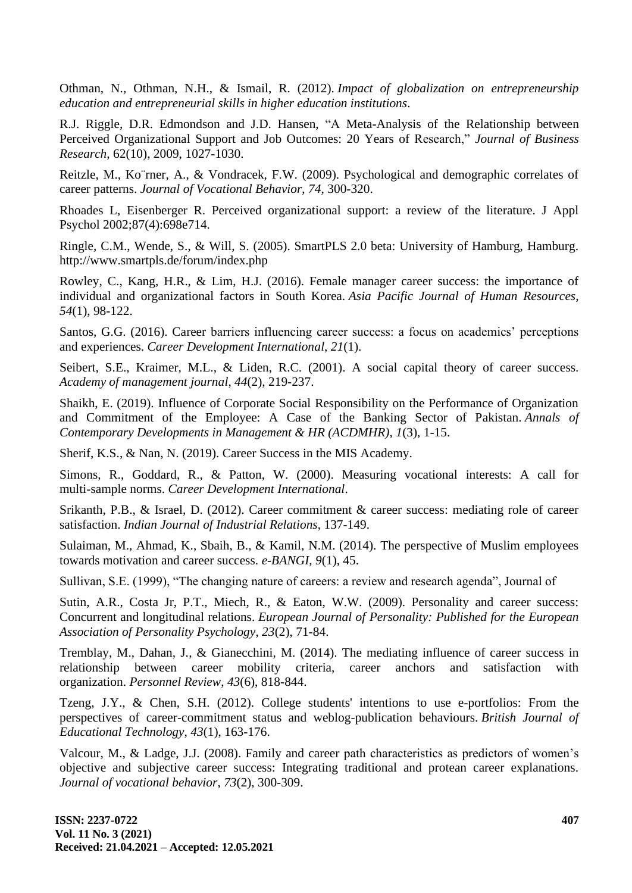Othman, N., Othman, N.H., & Ismail, R. (2012). *Impact of globalization on entrepreneurship education and entrepreneurial skills in higher education institutions*.

R.J. Riggle, D.R. Edmondson and J.D. Hansen, "A Meta-Analysis of the Relationship between Perceived Organizational Support and Job Outcomes: 20 Years of Research," *Journal of Business Research,* 62(10), 2009, 1027-1030.

Reitzle, M., Ko¨rner, A., & Vondracek, F.W. (2009). Psychological and demographic correlates of career patterns. *Journal of Vocational Behavior, 74,* 300-320.

Rhoades L, Eisenberger R. Perceived organizational support: a review of the literature. J Appl Psychol 2002;87(4):698e714.

Ringle, C.M., Wende, S., & Will, S. (2005). SmartPLS 2.0 beta: University of Hamburg, Hamburg. http://www.smartpls.de/forum/index.php

Rowley, C., Kang, H.R., & Lim, H.J. (2016). Female manager career success: the importance of individual and organizational factors in South Korea. *Asia Pacific Journal of Human Resources*, *54*(1), 98-122.

Santos, G.G. (2016). Career barriers influencing career success: a focus on academics' perceptions and experiences. *Career Development International*, *21*(1).

Seibert, S.E., Kraimer, M.L., & Liden, R.C. (2001). A social capital theory of career success. *Academy of management journal*, *44*(2), 219-237.

Shaikh, E. (2019). Influence of Corporate Social Responsibility on the Performance of Organization and Commitment of the Employee: A Case of the Banking Sector of Pakistan. *Annals of Contemporary Developments in Management & HR (ACDMHR)*, *1*(3), 1-15.

Sherif, K.S., & Nan, N. (2019). Career Success in the MIS Academy.

Simons, R., Goddard, R., & Patton, W. (2000). Measuring vocational interests: A call for multi‐sample norms. *Career Development International*.

Srikanth, P.B., & Israel, D. (2012). Career commitment & career success: mediating role of career satisfaction. *Indian Journal of Industrial Relations*, 137-149.

Sulaiman, M., Ahmad, K., Sbaih, B., & Kamil, N.M. (2014). The perspective of Muslim employees towards motivation and career success. *e-BANGI*, *9*(1), 45.

Sullivan, S.E. (1999), "The changing nature of careers: a review and research agenda", Journal of

Sutin, A.R., Costa Jr, P.T., Miech, R., & Eaton, W.W. (2009). Personality and career success: Concurrent and longitudinal relations. *European Journal of Personality: Published for the European Association of Personality Psychology*, *23*(2), 71-84.

Tremblay, M., Dahan, J., & Gianecchini, M. (2014). The mediating influence of career success in relationship between career mobility criteria, career anchors and satisfaction with organization. *Personnel Review*, *43*(6), 818-844.

Tzeng, J.Y., & Chen, S.H. (2012). College students' intentions to use e-portfolios: From the perspectives of career‐commitment status and weblog‐publication behaviours. *British Journal of Educational Technology*, *43*(1), 163-176.

Valcour, M., & Ladge, J.J. (2008). Family and career path characteristics as predictors of women's objective and subjective career success: Integrating traditional and protean career explanations. *Journal of vocational behavior*, *73*(2), 300-309.